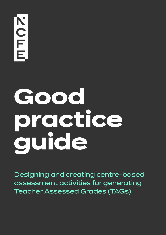# Good practice quide

Designing and creating centre-based assessment activities for generating **Teacher Assessed Grades (TAGs)**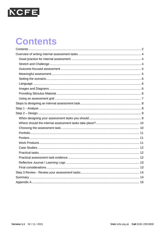

### <span id="page-1-0"></span>**Contents**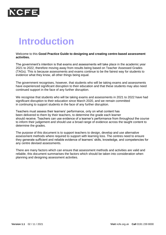

### **Introduction**

#### Welcome to this **Good Practice Guide to designing and creating centre-based assessment activities.**

The government's intention is that exams and assessments will take place in the academic year 2021 to 2022, therefore moving away from results being based on Teacher Assessed Grades (TAGs). This is because assessments and exams continue to be the fairest way for students to evidence what they know, all other things being equal.

The government recognises, however, that students who will be taking exams and assessments have experienced significant disruption to their education and that these students may also need continued support in the face of any further disruption.

We recognise that students who will be taking exams and assessments in 2021 to 2022 have had significant disruption to their education since March 2020, and we remain committed in continuing to support students in the face of any further disruption.

Teachers must assess their learners' performance, only on what content has been delivered to them by their teachers, to determine the grade each learner should receive. Teachers can use evidence of a learner's performance from throughout the course to inform their judgement and should use a broad range of evidence across the taught content to determine the grades.

The purpose of this document is to support teachers to design, develop and use alternative assessment methods where required to support with learning loss. The centres need to ensure they generate sufficient and reliable evidence of learners' skills, knowledge, and competencies for any centre devised assessments.

There are many factors which can ensure that assessment methods and activities are valid and reliable, this document summarises the factors which should be taken into consideration when planning and designing assessment activities.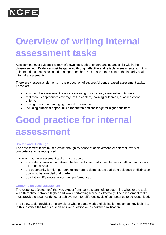

# <span id="page-3-0"></span>**Overview of writing internal assessment tasks**

Assessment must evidence a learner's own knowledge, understanding and skills within their chosen subject. Evidence must be gathered through effective and reliable assessments, and this guidance document is designed to support teachers and assessors to ensure the integrity of all internal assessments.

There are 4 essential elements in the production of successful centre-based assessment tasks. These are:

- ensuring the assessment tasks are meaningful with clear, assessable outcomes.
- that there is appropriate coverage of the content, learning outcomes, or assessment criteria.
- having a valid and engaging context or scenario.
- including sufficient opportunities for stretch and challenge for higher attainers.

# <span id="page-3-1"></span>**Good practice for internal assessment**

#### <span id="page-3-2"></span>**Stretch and Challenge**

The assessment tasks must provide enough evidence of achievement for different levels of competence to be recognised.

It follows that the assessment tasks must support:

- accurate differentiation between higher and lower performing leaners in attainment across all grades/levels.
- the opportunity for high performing learners to demonstrate sufficient evidence of distinction quality to be awarded that grade.
- qualitative differences in learners' performances.

#### <span id="page-3-3"></span>**Outcome focused assessment**

The responses (outcomes) that you expect from learners can help to determine whether the task will differentiate between higher and lower performing learners effectively. The assessment tasks must provide enough evidence of achievement for different levels of competence to be recognised.

The below table provides an example of what a pass, merit and distinction response may look like. In this instance the task is a short answer question on a cookery qualification.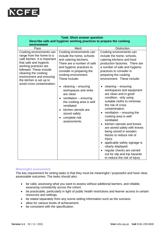

| <b>Task: Short answer question</b><br>Describe safe and hygienic working practices to prepare the cooking                                                                                                                                                                         |                                                                                                                                                                                                                                                                                                                                                                                                                                                       |                                                                                                                                                                                                                                                                                                                                                                                                                                                                                                                                                                                                                                                                                                                                                                                   |  |  |  |  |  |
|-----------------------------------------------------------------------------------------------------------------------------------------------------------------------------------------------------------------------------------------------------------------------------------|-------------------------------------------------------------------------------------------------------------------------------------------------------------------------------------------------------------------------------------------------------------------------------------------------------------------------------------------------------------------------------------------------------------------------------------------------------|-----------------------------------------------------------------------------------------------------------------------------------------------------------------------------------------------------------------------------------------------------------------------------------------------------------------------------------------------------------------------------------------------------------------------------------------------------------------------------------------------------------------------------------------------------------------------------------------------------------------------------------------------------------------------------------------------------------------------------------------------------------------------------------|--|--|--|--|--|
| environment                                                                                                                                                                                                                                                                       |                                                                                                                                                                                                                                                                                                                                                                                                                                                       |                                                                                                                                                                                                                                                                                                                                                                                                                                                                                                                                                                                                                                                                                                                                                                                   |  |  |  |  |  |
| Pass                                                                                                                                                                                                                                                                              | <b>Merit</b>                                                                                                                                                                                                                                                                                                                                                                                                                                          | <b>Distinction</b>                                                                                                                                                                                                                                                                                                                                                                                                                                                                                                                                                                                                                                                                                                                                                                |  |  |  |  |  |
| Cooking environments can<br>range from the home to a<br>café kitchen. It is important<br>that safe and hygienic<br>working practices are<br>followed. These include<br>cleaning the cooking<br>environment and ensuring<br>the kitchen is set up to<br>avoid cross contamination. | Cooking environments can<br>include the home, schools<br>and catering kitchens.<br>There are a number of safe<br>and hygienic practices to<br>consider in preparing the<br>cooking environment.<br>These include:<br>cleaning - ensuring<br>$\bullet$<br>workspaces and sinks<br>are clean<br>ventilation - ensuring<br>$\bullet$<br>the cooking area is well<br>ventilated<br>kitchen utensils are<br>stored safely<br>complete risk<br>assessments. | Cooking environments can<br>include the home, schools,<br>catering kitchens and food<br>production factories. There are<br>a number of safe and hygienic<br>practices to consider in<br>preparing the cooking<br>environment. These include:<br>cleaning - ensuring<br>workspaces and equipment<br>are clean and in good<br>condition, only using<br>suitable cloths to minimise<br>the risk of cross<br>contamination.<br>ventilation - ensuring the<br>cooking area is well<br>ventilated<br>kitchen utensils and knives<br>are stored safely with knives<br>being stored in wooden<br>blocks to reduce risk of<br>injury.<br>applicable safety signage is<br>clearly displayed<br>regular checks are carried<br>out for slip and trip hazards<br>to reduce the risk of injury. |  |  |  |  |  |

#### <span id="page-4-0"></span>**Meaningful assessment**

The key requirement for writing tasks is that they must be meaningful / purposeful and have clear, assessable outcomes. The tasks should also:

- be valid, assessing what you want to assess without additional barriers, and reliable, assessing consistently across the cohort.
- be practicable, particularly in light of public health restrictions and learner access to certain resources and settings.
- be stated separately from any scene-setting information such as the scenario.
- allow for various levels of achievement.
- be consistent with the specification.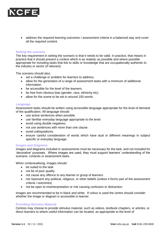

• address the required learning outcomes / assessment criteria in a balanced way and cover all the required content.

#### <span id="page-5-0"></span>**Setting the scenario**

The key requirement in setting the scenario is that it needs to be valid. In practice, that means in practice that it should present a context which is as realistic as possible and where possible appropriate for including tasks that link to skills or knowledge that are occupationally authentic to the industry or sector (if relevant).

The scenario should also:

- set a challenge or problem for learners to address.
- allow for the generation of a range of assessment tasks with a minimum of additional information.
- be accessible for the level of the learners.
- be free from obvious bias (gender, race, ethnicity etc)
- allow for the scene to be set in around 150 words.

#### <span id="page-5-1"></span>**Language**

Assessment tasks should be written using accessible language appropriate for the level of demand of the qualification. All language should:

- use active sentences when possible.
- use familiar everyday language appropriate to the level.
- avoid using double negatives.
- not use sentences with more than one clause.
- avoid colloquialisms.
- ensure careful consideration of words which have dual or different meanings in subject specific or everyday language.

#### <span id="page-5-2"></span>**Images and Diagrams**

Images and diagrams included in assessments must be necessary for the task, and not included for 'decorative' purposes. Where images are used, they must support learners' understanding of the scenario, contexts or assessment tasks.

When contextualising, images should:

- be suited to the task.
- not be of poor quality.
- not cause any offence to any learner or group of learners
- not represent any political, religious, or other beliefs (unless it forms part of the assessment criteria / outcomes)
- not be open to misinterpretation or risk causing confusion or distraction.

Images are recommended to be in black and white. If colour is used the centre should consider whether the image or diagram is accessible to learner.

#### <span id="page-5-3"></span>**Providing Stimulus Material**

Centres may choose to provide stimulus material, such as videos, textbook chapters, or articles, or direct learners to where useful information can be located, as appropriate to the level of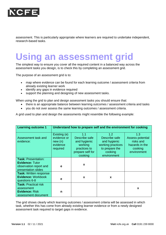

assessment. This is particularly appropriate where learners are required to undertake independent, research-based tasks.

### <span id="page-6-0"></span>**Using an assessment grid**

The simplest way to ensure you cover all the required content in a balanced way across the assessment tasks you design, is to check this by completing an assessment grid.

The purpose of an assessment grid is to:

- map where evidence can be found for each learning outcome / assessment criteria from already existing learner work
- identify any gaps in evidence required
- support the planning and designing of new assessment tasks.

When using the grid to plan and design assessment tasks you should ensure that:

- there is an appropriate balance between learning outcomes / assessment criteria and tasks
- you do not over assess the same learning outcomes / assessment criteria.

A grid used to plan and design the assessments might resemble the following example:

| <b>Learning outcome 1</b>                                                                             | Understand how to prepare self and the environment for cooking |                                                                                                |                                                                                                       |                                                                                  |  |
|-------------------------------------------------------------------------------------------------------|----------------------------------------------------------------|------------------------------------------------------------------------------------------------|-------------------------------------------------------------------------------------------------------|----------------------------------------------------------------------------------|--|
| Assessment task and<br>evidence:                                                                      | Existing (e)<br>evidence or<br>new(n)<br>evidence<br>required  | 1.1<br>Describe safe<br>and hygienic<br>working<br>practices to<br>prepare self for<br>cooking | 1.2<br>Describe safe<br>and hygienic<br>working practices<br>to prepare the<br>cooking<br>environment | 1.3<br>Assess potential<br>risks and<br>hazards in the<br>cooking<br>environment |  |
| <b>Task: Presentation:</b><br><b>Evidence: Tutor</b><br>observation report and<br>presentation slides | e                                                              | X                                                                                              |                                                                                                       |                                                                                  |  |
| <b>Task: Written response</b><br><b>Evidence: Workbook</b><br>questions 6-8                           | e                                                              | X                                                                                              | X                                                                                                     |                                                                                  |  |
| <b>Task: Practical risk</b><br>assessment<br><b>Evidence: Risk</b><br>assessment document             | n                                                              |                                                                                                |                                                                                                       | X                                                                                |  |

The grid shows clearly which learning outcomes / assessment criteria will be assessed in which task, whether this has come from already existing learner evidence or from a newly designed assessment task required to target gaps in evidence.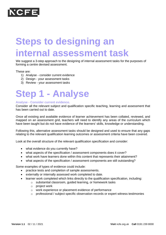

# <span id="page-7-0"></span>**Steps to designing an internal assessment task**

We suggest a 3-step approach to the designing of internal assessment tasks for the purposes of forming a centre devised assessment.

These are:

- 1) Analyse consider current evidence
- 2) Design your assessment tasks
- 3) Review your assessment tasks

# <span id="page-7-1"></span>**Step 1 - Analyse**

#### **Analyse - Consider current evidence.**

Consider all the relevant subject and qualification specific teaching, learning and assessment that has been carried out to date.

Once all existing and available evidence of learner achievement has been collated, reviewed, and mapped on an assessment grid, teachers will need to identify any areas of the curriculum which have been taught but do not have evidence of the learners' skills, knowledge or understanding.

Following this, alternative assessment tasks should be designed and used to ensure that any gaps relating to the relevant qualification learning outcomes or assessment criteria have been covered.

Look at the overall structure of the relevant qualification specification and consider:

- what evidence do you currently have?
- what aspects of the specification / assessment components does it cover?
- what work have learners done within this content that represents their attainment?
- what aspects of the specification / assessment components are still outstanding?

Some examples of types of evidence could include:

- practice tests and completion of sample assessments.
- externally or internally assessed work completed to date.
- learner work completed which links directly to the qualification specification, including:
	- o substantial classroom, guided learning, or homework tasks
	- o project work
	- o work experience or placement evidence of performance
	- o professional / subject specific observation records or expert witness testimonies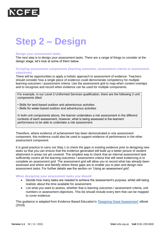

# <span id="page-8-0"></span>**Step 2 – Design**

#### **Design your assessment tasks**

The next step is to design your assessment tasks. There are a range of things to consider at the design stage, let's look at some of them below.

#### **Grouping assessment components (learning outcomes, assessment criteria or assessment objectives)**

There will be opportunities to apply a holistic approach to assessment of evidence. Teachers should consider how a single piece of evidence could demonstrate competency for multiple learning outcomes / assessment criteria. Use the assessment grid to map when content overlaps and to recognise and record when evidence can be used for multiple components.

For example, in our Level 3 Uniformed Services qualification, there are the following 2-unit components titled:

- Skills for land-based outdoor and adventurous activities
- Skills for water-based outdoor and adventurous activities

In both unit components above, the learner undertakes a risk assessment in the different contexts of each assessment, however, what is being assessed is the learners' performance to be able to undertake a risk assessment.

Therefore, where evidence of achievement has been demonstrated in one assessment component, this evidence could also be used to support evidence of performance in the other assessment component.

It is good practice to carry out Step 1 to check the gaps in existing evidence prior to designing new tasks so that you can ensure that the evidence generated will build up a better picture of student attainment in areas not yet covered. The simplest way to check that an internal assessment task sufficiently covers all the learning outcomes / assessment criteria that still need evidencing is to complete an assessment grid. The assessment grid will allow you to record what has already been assessed and where and identify where these gaps are to enable you to plan and design new assessment tasks. For further details see the section on 'Using an assessment grid'.

#### <span id="page-8-1"></span>**When designing your assessment tasks you should:**

- Decide how many tasks are needed to achieve the assessment's purpose, whilst still being realistic about the time available for assessment.
- List what you want to assess, whether that is learning outcomes / assessment criteria, unit numbers or assessment objectives. This list should include every item that can be mapped to cover evidence.

This guidance is adapted from Evidence Based Education's ['Designing Great Assessment'](https://evidence-based-education.thinkific.com/courses/resource-library) eBook (2019).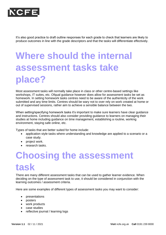

It's also good practice to draft outline responses for each grade to check that learners are likely to produce outcomes in line with the grade descriptors and that the tasks will differentiate effectively.

# <span id="page-9-0"></span>**Where should the internal assessment tasks take place?**

Most assessment tasks will normally take place in class or other centre-based settings like workshops, IT suites, etc. Ofqual guidance however does allow for assessment tasks be set as homework. In setting homework tasks centres need to be aware of the authenticity of the work submitted and any time limits. Centres should be wary not to over rely on work created at home or out of supervised sessions, rather aim to achieve a sensible balance between the two.

When setting/specifying homework tasks it's important to make sure learners have clear guidance and instructions. Centres should also consider providing guidance to learners on managing their studies at home including guidance on time management, establishing a routine, working environment, staying safe online, etc.

Types of tasks that are better suited for home include:

- application style tasks where understanding and knowledge are applied to a scenario or a case study.
- project work.
- research tasks.

## <span id="page-9-1"></span>**Choosing the assessment task**

There are many different assessment tasks that can be used to gather learner evidence. When deciding on the type of assessment task to use, it should be considered in conjunction with the learning outcomes / assessment criteria.

Here are some examples of different types of assessment tasks you may want to consider:

- presentations
- posters
- work products
- case studies
- reflective journal / learning logs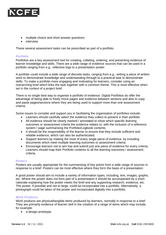

- multiple choice and short answer questions
- interview

These several assessment tasks can be prescribed as part of a portfolio.

#### <span id="page-10-0"></span>**Portfolio**

Portfolios are a key assessment tool for creating, collating, ordering, and presenting evidence of learner knowledge and skills. There are a wide range of evidence sources that can be used in a portfolio ranging from e.g., reflective logs to a presentation poster.

A portfolio could include a wide range of discrete tasks, ranging from e.g., setting a piece of written work to demonstrate knowledge and understanding through to a practical task to demonstrate skills. To make a portfolio more engaging and motivating for learners, consider using an overarching brief which links the task together with a common theme. This is most effective when set in the context of a project brief.

There is no single best way to organise a portfolio of evidence. Digital Portfolios do offer the advantage of being able to freely move pages and evidence between sections and also to copy and paste pages/sections where they are being used to support more than one assessment criteria.

Some issues to consider and support you in facilitating the organisation of portfolios include:

- Learners should carefully select the evidence they collect to present in their portfolio.
- All evidence should be clearly marked / annotated to show which specific learning outcomes or assessment criteria the evidence relates to, with the inclusion of a reference system / page summarising the Portfolio/Logbook contents.
- It should be the responsibility of the learner to ensure that they include sufficient and reliable evidence, which can also be authenticated.
- Support learners by making the most of every single piece of evidence, by including documents which meet multiple learning outcomes or assessment criteria.
- Encourage learners not to aim low and submit just one piece of evidence for every criteria; Learners should map their Portfolio contents to all the learning outcomes / assessment criteria.

#### <span id="page-10-1"></span>**Posters**

Posters are usually appropriate for the summarising of key points from a wide range of sources in response to a brief. Posters can be most effective where they form the basis of a presentation.

A good poster should aim to include a variety of information types, including, text, images, graphs, etc. Where the poster does not form part of a presentation it should be accompanied by a short rationale explaining how the poster meets the brief and any supporting research, evidence, etc. The poster, if possible and not to large, could be incorporated into a portfolio. Alternatively, a photograph could be taken of the poster and incorporated digitally into a portfolio.

#### <span id="page-10-2"></span>**Work Products**

Work products are physical/tangible items produced by learners, normally in response to a brief. They are primarily evidence of learner skill in the creation of a range of items which may include, for example:

• a design prototype.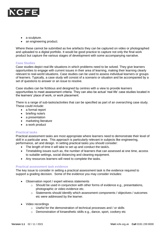

- a sculpture.
- an engineering product.

Where these cannot be submitted as live artefacts they can be captured on video or photographed and uploaded to a digital portfolio. It would be good practice to capture not only the final work product but capture the various stages of development with some accompanying narrative.

#### <span id="page-11-0"></span>**Case Studies**

Case studies depict real-life situations in which problems need to be solved. They give learners opportunities to engage with current issues in their area of learning, making their learning clearly relevant to real-world situations. Case studies can be used to assess individual learners or groups of learners. Typically, a case study will consist of a scenario or situation and be accompanied by a set of questions to answer or an issue to resolve.

Case studies can be fictitious and designed by centres with a view to provide learners opportunities to meet assessment criteria. They can also be actual 'real life' case studies located in the learners' place of work, or work placement.

There is a range of sub-tasks/activities that can be specified as part of an overarching case study. These could include:

- a formal report
- briefing note/s
- a presentation
- marketing literature
- a work product

#### <span id="page-11-1"></span>**Practical tasks**

Practical assessment tasks are most appropriate where learners need to demonstrate their level of skill in a particular area. This approach is particularly relevant in subjects like engineering, performance, art and design. In setting practical tasks you should consider:

- The length of time it will take to set up and conduct the task/s.
- Timetabling issues such as, the number of learners that can assessed at one time, access to suitable settings, social distancing and cleaning equipment.
- Any resources learners will need to complete the tasks.

#### <span id="page-11-2"></span>**Practical assessment task evidence**

The key issue to consider in setting a practical assessment task is the evidence required to support a grading decision. Some of the evidence you may consider includes:

- Observation report / expert witness statements
	- $\circ$  Should be used in conjunction with other forms of evidence e.g., presentations, photographic or video evidence etc.
	- o Statements should identify which assessment components / objectives / outcomes etc were addressed by the learner.
- Video recordings
	- o Useful for the demonstration of technical processes and / or skills
	- o Demonstration of kinaesthetic skills e.g., dance, sport, cookery etc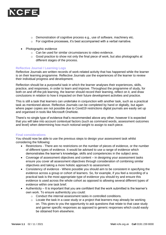

- $\circ$  Demonstration of cognitive process e.g., use of software, machinery etc.
- o For cognitive processes, it's best accompanied with a verbal narrative.
- Photographic evidence
	- o Can be used for similar circumstances to video evidence.
	- o Good practice to show not only the final piece of work, but also photographs at different stages of the process.

#### <span id="page-12-0"></span>**Reflective Journal / Learning Logs**

Reflective Journals are written records of work-related activity that has happened while the learner is on their learning programme. Reflective Journals use the experiences of the learner to review their individual progress and development.

Reflection should be a purposeful task in which the learner analyses their experiences, skills, practice, and responses, in order to learn and improve. Throughout the programme of study, for both on and off-the-job learning, the learner should record their learning, reflect on it, and draw conclusions in relation to how it impacted on their future development activities and practice.

This is still a task that learners can undertake in conjunction with another task, such as a practical task as mentioned above. Reflective Journals can be completed by hand or digitally, but again where paper copies are not possible due to Covid19 restrictions digital journals are easily set up and organised in tools like Microsoft OneNote.

There's no single type of evidence that's recommended above any other, however it is expected that you will take into account contextual factors (such as command words, assessment outcomes and level) when determining how much notional weight to assign to each piece.

#### <span id="page-12-1"></span>**Final considerations**

You should now be able to use the previous steps to design your assessment task whilst considering the following:

- Restrictions There are no restrictions on the number of pieces of evidence, or the number of different types of evidence. It would be advised to use a range of evidence which demonstrates the learner's knowledge, skills and competencies in the subject area.
- Coverage of assessment objectives and content in designing your assessment tasks ensure you cover all assessment objectives through consideration of combining similar objectives and taking a more holistic approach to assessment.
- Consistency of evidence Where possible you should aim to be consistent in specifying the evidence across a group or cohort of learners. So, for example, if you feel a recording of a practical task is the most appropriate type of evidence you should try and ensure this evidence is used across the whole cohort as opposed to allowing several different types of evidence within one task brief.
- Authenticity It is important that you are confident that the work submitted is the learner's own work. To ensure authenticity you could:
	- o Conduct the internal assessment tasks in controlled conditions.
	- $\circ$  Locate the task in a case study or a project that learners may already be working on. This gives to you the opportunity to ask questions that relate to that case study and garner specific responses as opposed to generic responses which could easily be obtained from elsewhere.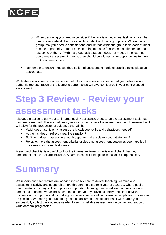

- $\circ$  When designing you need to consider if the task is an individual task which can be clearly associated/linked to a specific student or if it is a group task. Where it is a group task you need to consider and ensure that within the group task, each student has the opportunity to meet each learning outcome / assessment criterion and not just some of them. If within a group task a student does not meet all the learning outcomes / assessment criteria, they should be allowed other opportunities to meet that outcome / criteria.
- Remember to ensure that standardisation of assessment marking practice takes place as appropriate.

While there is no one type of evidence that takes precedence, evidence that you believe is an authentic representation of the learner's performance will give confidence in your centre based assessment.

### <span id="page-13-0"></span>**Step 3 Review - Review your assessment tasks**

It is good practice to carry out an internal quality assurance process on the assessment task that has been designed. The internal quality assurer should check the assessment task to ensure that it will allow for the production of evidence that will be:

- Valid: does it sufficiently assess the knowledge, skills and behaviours needed?
- Authentic: does it reflect a real-life situation?
- Sufficient: does it assess in enough depth to make a claim about attainment?
- Reliable: have the assessment criteria for deciding assessment outcomes been applied in the same way for each student?

A standard checklist is a useful tool for the internal reviewer to review and check that key components of the task are included. A sample checklist template is included in appendix A

### <span id="page-13-1"></span>**Summary**

We understand that centres are working incredibly hard to deliver teaching, learning and assessment activity and support learners through the academic year of 2021-22, where public health restrictions may still be in place or supporting learnings impacted learning loss. We are committed to doing everything we can to support you by providing timely and clear advice, guidance and support – and by making our requirements and processes as simple and streamlined as possible. We hope you found this guidance document helpful and that it will enable you to successfully collect the evidence needed to submit reliable assessment outcomes and support your learners' progression.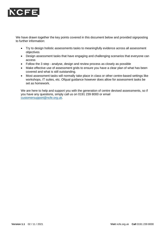

We have drawn together the key points covered in this document below and provided signposting to further information:

- Try to design holistic assessments tasks to meaningfully evidence across all assessment objectives
- Design assessment tasks that have engaging and challenging scenarios that everyone can access
- Follow the 3 step analyse, design and review process as closely as possible
- Make effective use of assessment grids to ensure you have a clear plan of what has been covered and what is still outstanding.
- Most assessment tasks will normally take place in class or other centre-based settings like workshops, IT suites, etc. Ofqual guidance however does allow for assessment tasks be set as homework.

We are here to help and support you with the generation of centre devised assessments, so if you have any questions, simply call us on 0191 239 8000 or email [customersupport@ncfe.org.uk.](mailto:customersupport@ncfe.org.uk)